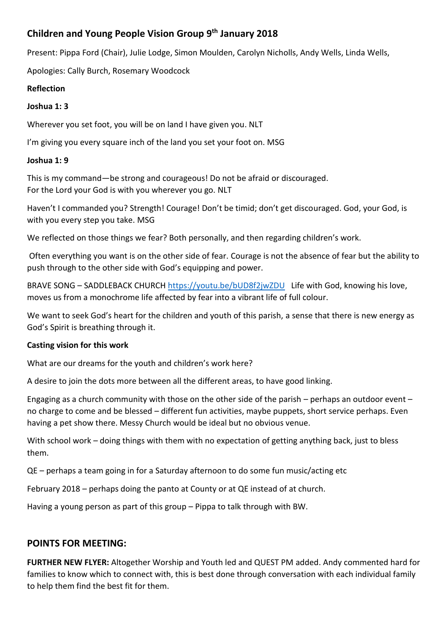# **Children and Young People Vision Group 9th January 2018**

Present: Pippa Ford (Chair), Julie Lodge, Simon Moulden, Carolyn Nicholls, Andy Wells, Linda Wells,

Apologies: Cally Burch, Rosemary Woodcock

## **Reflection**

## **Joshua 1: 3**

Wherever you set foot, you will be on land I have given you. NLT

I'm giving you every square inch of the land you set your foot on. MSG

## **Joshua 1: 9**

This is my command—be strong and courageous! Do not be afraid or discouraged. For the Lord your God is with you wherever you go. NLT

Haven't I commanded you? Strength! Courage! Don't be timid; don't get discouraged. God, your God, is with you every step you take. MSG

We reflected on those things we fear? Both personally, and then regarding children's work.

Often everything you want is on the other side of fear. Courage is not the absence of fear but the ability to push through to the other side with God's equipping and power.

BRAVE SONG – SADDLEBACK CHURCH <https://youtu.be/bUD8f2jwZDU>Life with God, knowing his love, moves us from a monochrome life affected by fear into a vibrant life of full colour.

We want to seek God's heart for the children and youth of this parish, a sense that there is new energy as God's Spirit is breathing through it.

### **Casting vision for this work**

What are our dreams for the youth and children's work here?

A desire to join the dots more between all the different areas, to have good linking.

Engaging as a church community with those on the other side of the parish – perhaps an outdoor event – no charge to come and be blessed – different fun activities, maybe puppets, short service perhaps. Even having a pet show there. Messy Church would be ideal but no obvious venue.

With school work – doing things with them with no expectation of getting anything back, just to bless them.

QE – perhaps a team going in for a Saturday afternoon to do some fun music/acting etc

February 2018 – perhaps doing the panto at County or at QE instead of at church.

Having a young person as part of this group – Pippa to talk through with BW.

# **POINTS FOR MEETING:**

**FURTHER NEW FLYER:** Altogether Worship and Youth led and QUEST PM added. Andy commented hard for families to know which to connect with, this is best done through conversation with each individual family to help them find the best fit for them.